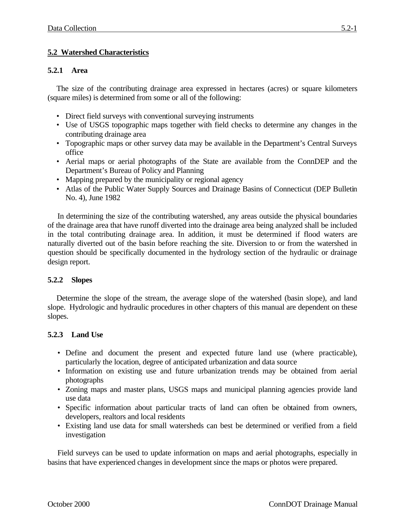# **5.2 Watershed Characteristics**

#### **5.2.1 Area**

The size of the contributing drainage area expressed in hectares (acres) or square kilometers (square miles) is determined from some or all of the following:

- Direct field surveys with conventional surveying instruments
- Use of USGS topographic maps together with field checks to determine any changes in the contributing drainage area
- Topographic maps or other survey data may be available in the Department's Central Surveys office
- Aerial maps or aerial photographs of the State are available from the ConnDEP and the Department's Bureau of Policy and Planning
- Mapping prepared by the municipality or regional agency
- Atlas of the Public Water Supply Sources and Drainage Basins of Connecticut (DEP Bulletin No. 4), June 1982

In determining the size of the contributing watershed, any areas outside the physical boundaries of the drainage area that have runoff diverted into the drainage area being analyzed shall be included in the total contributing drainage area. In addition, it must be determined if flood waters are naturally diverted out of the basin before reaching the site. Diversion to or from the watershed in question should be specifically documented in the hydrology section of the hydraulic or drainage design report.

### **5.2.2 Slopes**

Determine the slope of the stream, the average slope of the watershed (basin slope), and land slope. Hydrologic and hydraulic procedures in other chapters of this manual are dependent on these slopes.

### **5.2.3 Land Use**

- Define and document the present and expected future land use (where practicable), particularly the location, degree of anticipated urbanization and data source
- Information on existing use and future urbanization trends may be obtained from aerial photographs
- Zoning maps and master plans, USGS maps and municipal planning agencies provide land use data
- Specific information about particular tracts of land can often be obtained from owners, developers, realtors and local residents
- Existing land use data for small watersheds can best be determined or verified from a field investigation

Field surveys can be used to update information on maps and aerial photographs, especially in basins that have experienced changes in development since the maps or photos were prepared.